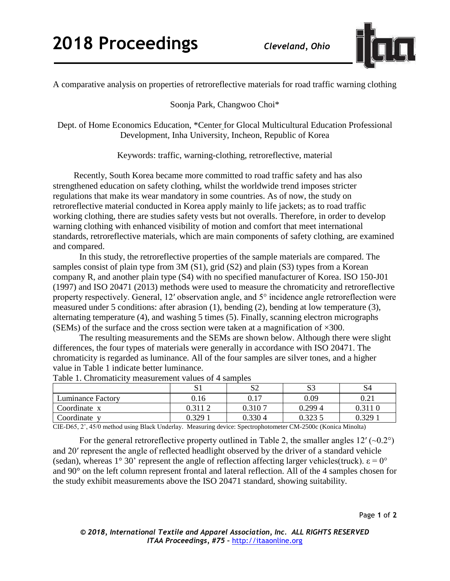

A comparative analysis on properties of retroreflective materials for road traffic warning clothing

Soonja Park, Changwoo Choi\*

Dept. of Home Economics Education, \*Center for Glocal Multicultural Education Professional Development, Inha University, Incheon, Republic of Korea

Keywords: traffic, warning-clothing, retroreflective, material

Recently, South Korea became more committed to road traffic safety and has also strengthened education on safety clothing, whilst the worldwide trend imposes stricter regulations that make its wear mandatory in some countries. As of now, the study on retroreflective material conducted in Korea apply mainly to life jackets; as to road traffic working clothing, there are studies safety vests but not overalls. Therefore, in order to develop warning clothing with enhanced visibility of motion and comfort that meet international standards, retroreflective materials, which are main components of safety clothing, are examined and compared.

In this study, the retroreflective properties of the sample materials are compared. The samples consist of plain type from 3M (S1), grid (S2) and plain (S3) types from a Korean company R, and another plain type (S4) with no specified manufacturer of Korea. ISO 150-J01 (1997) and ISO 20471 (2013) methods were used to measure the chromaticity and retroreflective property respectively. General, 12′ observation angle, and 5° incidence angle retroreflection were measured under 5 conditions: after abrasion (1), bending (2), bending at low temperature (3), alternating temperature (4), and washing 5 times (5). Finally, scanning electron micrographs (SEMs) of the surface and the cross section were taken at a magnification of  $\times 300$ .

The resulting measurements and the SEMs are shown below. Although there were slight differences, the four types of materials were generally in accordance with ISO 20471. The chromaticity is regarded as luminance. All of the four samples are silver tones, and a higher value in Table 1 indicate better luminance.

| Table 1. Chromaticity measurement values of $\pm$ samples |         |          |        |         |  |  |  |  |  |
|-----------------------------------------------------------|---------|----------|--------|---------|--|--|--|--|--|
|                                                           |         | ື້       | S3     | S4      |  |  |  |  |  |
| Luminance Factory                                         | 0.16    | $0.17\,$ | 0.09   | 0.21    |  |  |  |  |  |
| Coordinate x                                              | 0.311 2 | 0.3107   | 0.2994 | 0.311 0 |  |  |  |  |  |
| Coordinate v                                              | 0.329   | ).330 4  | 0.3235 | 0.329   |  |  |  |  |  |

Table 1. Chromaticity measurement values of 4 samples

CIE-D65, 2˚, 45/0 method using Black Underlay. Measuring device: Spectrophotometer CM-2500c (Konica Minolta)

For the general retroreflective property outlined in Table 2, the smaller angles  $12'$  ( $\sim 0.2^{\circ}$ ) and 20′ represent the angle of reflected headlight observed by the driver of a standard vehicle (sedan), whereas  $1^{\circ}$  30' represent the angle of reflection affecting larger vehicles(truck).  $\varepsilon = 0^{\circ}$ and 90° on the left column represent frontal and lateral reflection. All of the 4 samples chosen for the study exhibit measurements above the ISO 20471 standard, showing suitability.